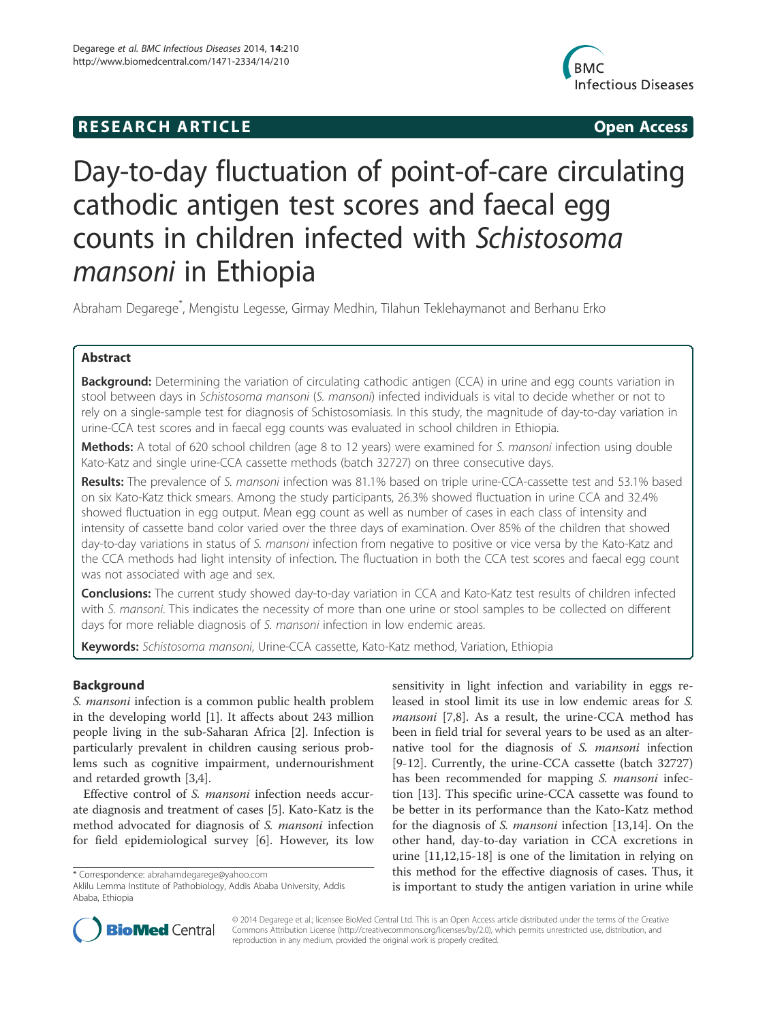## **RESEARCH ARTICLE Example 2014 CONSIDERING CONSIDERING CONSIDERING CONSIDERING CONSIDERING CONSIDERING CONSIDERING CONSIDERING CONSIDERING CONSIDERING CONSIDERING CONSIDERING CONSIDERING CONSIDERING CONSIDERING CONSIDE**



# Day-to-day fluctuation of point-of-care circulating cathodic antigen test scores and faecal egg counts in children infected with Schistosoma mansoni in Ethiopia

Abraham Degarege\* , Mengistu Legesse, Girmay Medhin, Tilahun Teklehaymanot and Berhanu Erko

## Abstract

Background: Determining the variation of circulating cathodic antigen (CCA) in urine and egg counts variation in stool between days in Schistosoma mansoni (S. mansoni) infected individuals is vital to decide whether or not to rely on a single-sample test for diagnosis of Schistosomiasis. In this study, the magnitude of day-to-day variation in urine-CCA test scores and in faecal egg counts was evaluated in school children in Ethiopia.

Methods: A total of 620 school children (age 8 to 12 years) were examined for S. mansoni infection using double Kato-Katz and single urine-CCA cassette methods (batch 32727) on three consecutive days.

Results: The prevalence of S. mansoni infection was 81.1% based on triple urine-CCA-cassette test and 53.1% based on six Kato-Katz thick smears. Among the study participants, 26.3% showed fluctuation in urine CCA and 32.4% showed fluctuation in egg output. Mean egg count as well as number of cases in each class of intensity and intensity of cassette band color varied over the three days of examination. Over 85% of the children that showed day-to-day variations in status of S. mansoni infection from negative to positive or vice versa by the Kato-Katz and the CCA methods had light intensity of infection. The fluctuation in both the CCA test scores and faecal egg count was not associated with age and sex.

Conclusions: The current study showed day-to-day variation in CCA and Kato-Katz test results of children infected with S. mansoni. This indicates the necessity of more than one urine or stool samples to be collected on different days for more reliable diagnosis of S. mansoni infection in low endemic areas.

Keywords: Schistosoma mansoni, Urine-CCA cassette, Kato-Katz method, Variation, Ethiopia

## Background

S. mansoni infection is a common public health problem in the developing world [1]. It affects about 243 million people living in the sub-Saharan Africa [2]. Infection is particularly prevalent in children causing serious problems such as cognitive impairment, undernourishment and retarded growth [3,4].

Effective control of S. mansoni infection needs accurate diagnosis and treatment of cases [5]. Kato-Katz is the method advocated for diagnosis of S. mansoni infection for field epidemiological survey [6]. However, its low

\* Correspondence: abrahamdegarege@yahoo.com

sensitivity in light infection and variability in eggs released in stool limit its use in low endemic areas for S. mansoni [7,8]. As a result, the urine-CCA method has been in field trial for several years to be used as an alternative tool for the diagnosis of S. mansoni infection [9-12]. Currently, the urine-CCA cassette (batch 32727) has been recommended for mapping S. mansoni infection [13]. This specific urine-CCA cassette was found to be better in its performance than the Kato-Katz method for the diagnosis of S. mansoni infection [13,14]. On the other hand, day-to-day variation in CCA excretions in urine [11,12,15-18] is one of the limitation in relying on this method for the effective diagnosis of cases. Thus, it is important to study the antigen variation in urine while



© 2014 Degarege et al.; licensee BioMed Central Ltd. This is an Open Access article distributed under the terms of the Creative Commons Attribution License (http://creativecommons.org/licenses/by/2.0), which permits unrestricted use, distribution, and reproduction in any medium, provided the original work is properly credited.

Aklilu Lemma Institute of Pathobiology, Addis Ababa University, Addis Ababa, Ethiopia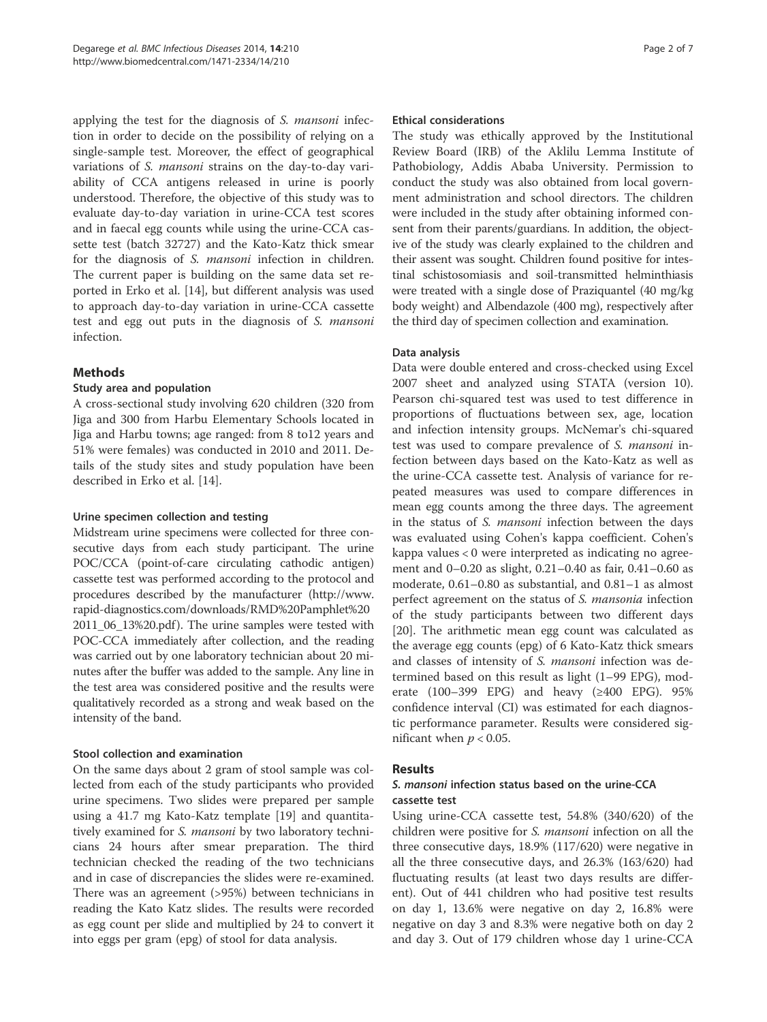applying the test for the diagnosis of S. mansoni infection in order to decide on the possibility of relying on a single-sample test. Moreover, the effect of geographical variations of S. mansoni strains on the day-to-day variability of CCA antigens released in urine is poorly understood. Therefore, the objective of this study was to evaluate day-to-day variation in urine-CCA test scores and in faecal egg counts while using the urine-CCA cassette test (batch 32727) and the Kato-Katz thick smear for the diagnosis of S. mansoni infection in children. The current paper is building on the same data set reported in Erko et al. [14], but different analysis was used to approach day-to-day variation in urine-CCA cassette test and egg out puts in the diagnosis of S. mansoni infection.

## Methods

## Study area and population

A cross-sectional study involving 620 children (320 from Jiga and 300 from Harbu Elementary Schools located in Jiga and Harbu towns; age ranged: from 8 to12 years and 51% were females) was conducted in 2010 and 2011. Details of the study sites and study population have been described in Erko et al. [14].

#### Urine specimen collection and testing

Midstream urine specimens were collected for three consecutive days from each study participant. The urine POC/CCA (point-of-care circulating cathodic antigen) cassette test was performed according to the protocol and procedures described by the manufacturer (http://www. rapid-diagnostics.com/downloads/RMD%20Pamphlet%20 2011\_06\_13%20.pdf ). The urine samples were tested with POC-CCA immediately after collection, and the reading was carried out by one laboratory technician about 20 minutes after the buffer was added to the sample. Any line in the test area was considered positive and the results were qualitatively recorded as a strong and weak based on the intensity of the band.

## Stool collection and examination

On the same days about 2 gram of stool sample was collected from each of the study participants who provided urine specimens. Two slides were prepared per sample using a 41.7 mg Kato-Katz template [19] and quantitatively examined for S. mansoni by two laboratory technicians 24 hours after smear preparation. The third technician checked the reading of the two technicians and in case of discrepancies the slides were re-examined. There was an agreement (>95%) between technicians in reading the Kato Katz slides. The results were recorded as egg count per slide and multiplied by 24 to convert it into eggs per gram (epg) of stool for data analysis.

#### Ethical considerations

The study was ethically approved by the Institutional Review Board (IRB) of the Aklilu Lemma Institute of Pathobiology, Addis Ababa University. Permission to conduct the study was also obtained from local government administration and school directors. The children were included in the study after obtaining informed consent from their parents/guardians. In addition, the objective of the study was clearly explained to the children and their assent was sought. Children found positive for intestinal schistosomiasis and soil-transmitted helminthiasis were treated with a single dose of Praziquantel (40 mg/kg body weight) and Albendazole (400 mg), respectively after the third day of specimen collection and examination.

#### Data analysis

Data were double entered and cross-checked using Excel 2007 sheet and analyzed using STATA (version 10). Pearson chi-squared test was used to test difference in proportions of fluctuations between sex, age, location and infection intensity groups. McNemar's chi-squared test was used to compare prevalence of S. mansoni infection between days based on the Kato-Katz as well as the urine-CCA cassette test. Analysis of variance for repeated measures was used to compare differences in mean egg counts among the three days. The agreement in the status of S. mansoni infection between the days was evaluated using Cohen's kappa coefficient. Cohen's kappa values < 0 were interpreted as indicating no agreement and 0–0.20 as slight, 0.21–0.40 as fair, 0.41–0.60 as moderate, 0.61–0.80 as substantial, and 0.81–1 as almost perfect agreement on the status of S. mansonia infection of the study participants between two different days [20]. The arithmetic mean egg count was calculated as the average egg counts (epg) of 6 Kato-Katz thick smears and classes of intensity of S. mansoni infection was determined based on this result as light (1–99 EPG), moderate (100–399 EPG) and heavy ( $\geq 400$  EPG). 95% confidence interval (CI) was estimated for each diagnostic performance parameter. Results were considered significant when  $p < 0.05$ .

## Results

#### S. mansoni infection status based on the urine-CCA cassette test

Using urine-CCA cassette test, 54.8% (340/620) of the children were positive for S. mansoni infection on all the three consecutive days, 18.9% (117/620) were negative in all the three consecutive days, and 26.3% (163/620) had fluctuating results (at least two days results are different). Out of 441 children who had positive test results on day 1, 13.6% were negative on day 2, 16.8% were negative on day 3 and 8.3% were negative both on day 2 and day 3. Out of 179 children whose day 1 urine-CCA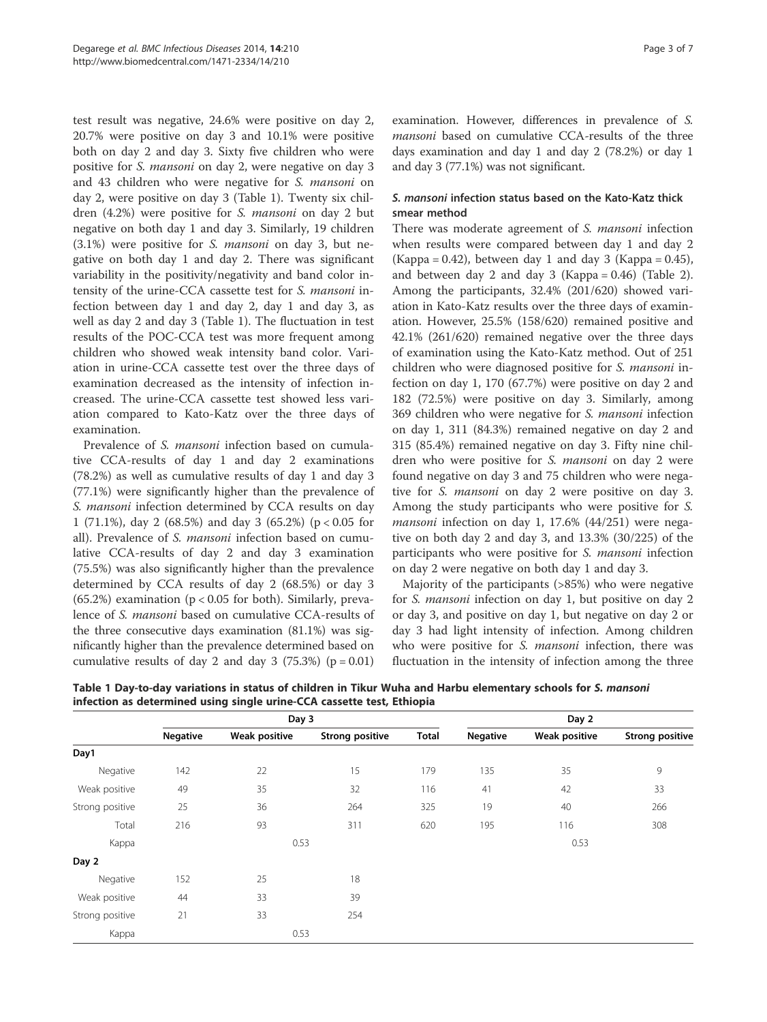test result was negative, 24.6% were positive on day 2, 20.7% were positive on day 3 and 10.1% were positive both on day 2 and day 3. Sixty five children who were positive for S. mansoni on day 2, were negative on day 3 and 43 children who were negative for S. mansoni on day 2, were positive on day 3 (Table 1). Twenty six children (4.2%) were positive for S. mansoni on day 2 but negative on both day 1 and day 3. Similarly, 19 children (3.1%) were positive for S. mansoni on day 3, but negative on both day 1 and day 2. There was significant variability in the positivity/negativity and band color intensity of the urine-CCA cassette test for S. mansoni infection between day 1 and day 2, day 1 and day 3, as well as day 2 and day 3 (Table 1). The fluctuation in test results of the POC-CCA test was more frequent among children who showed weak intensity band color. Variation in urine-CCA cassette test over the three days of examination decreased as the intensity of infection increased. The urine-CCA cassette test showed less variation compared to Kato-Katz over the three days of examination.

Prevalence of *S. mansoni* infection based on cumulative CCA-results of day 1 and day 2 examinations (78.2%) as well as cumulative results of day 1 and day 3 (77.1%) were significantly higher than the prevalence of S. mansoni infection determined by CCA results on day 1 (71.1%), day 2 (68.5%) and day 3 (65.2%) (p < 0.05 for all). Prevalence of S. mansoni infection based on cumulative CCA-results of day 2 and day 3 examination (75.5%) was also significantly higher than the prevalence determined by CCA results of day 2 (68.5%) or day 3 (65.2%) examination ( $p < 0.05$  for both). Similarly, prevalence of S. mansoni based on cumulative CCA-results of the three consecutive days examination (81.1%) was significantly higher than the prevalence determined based on cumulative results of day 2 and day 3 (75.3%) ( $p = 0.01$ )

examination. However, differences in prevalence of S. mansoni based on cumulative CCA-results of the three days examination and day 1 and day 2 (78.2%) or day 1 and day 3 (77.1%) was not significant.

## S. mansoni infection status based on the Kato-Katz thick smear method

There was moderate agreement of S. mansoni infection when results were compared between day 1 and day 2 (Kappa =  $0.42$ ), between day 1 and day 3 (Kappa =  $0.45$ ), and between day 2 and day 3 (Kappa = 0.46) (Table 2). Among the participants, 32.4% (201/620) showed variation in Kato-Katz results over the three days of examination. However, 25.5% (158/620) remained positive and 42.1% (261/620) remained negative over the three days of examination using the Kato-Katz method. Out of 251 children who were diagnosed positive for S. mansoni infection on day 1, 170 (67.7%) were positive on day 2 and 182 (72.5%) were positive on day 3. Similarly, among 369 children who were negative for S. mansoni infection on day 1, 311 (84.3%) remained negative on day 2 and 315 (85.4%) remained negative on day 3. Fifty nine children who were positive for S. mansoni on day 2 were found negative on day 3 and 75 children who were negative for S. mansoni on day 2 were positive on day 3. Among the study participants who were positive for S. mansoni infection on day 1, 17.6% (44/251) were negative on both day 2 and day 3, and 13.3% (30/225) of the participants who were positive for S. mansoni infection on day 2 were negative on both day 1 and day 3.

Majority of the participants (>85%) who were negative for S. mansoni infection on day 1, but positive on day 2 or day 3, and positive on day 1, but negative on day 2 or day 3 had light intensity of infection. Among children who were positive for S. mansoni infection, there was fluctuation in the intensity of infection among the three

|                 | Day 3           |               |                 |              | Day 2           |               |                        |  |
|-----------------|-----------------|---------------|-----------------|--------------|-----------------|---------------|------------------------|--|
|                 | <b>Negative</b> | Weak positive | Strong positive | <b>Total</b> | <b>Negative</b> | Weak positive | <b>Strong positive</b> |  |
| Day1            |                 |               |                 |              |                 |               |                        |  |
| Negative        | 142             | 22            | 15              | 179          | 135             | 35            | 9                      |  |
| Weak positive   | 49              | 35            | 32              | 116          | 41              | 42            | 33                     |  |
| Strong positive | 25              | 36            | 264             | 325          | 19              | 40            | 266                    |  |
| Total           | 216             | 93            | 311             | 620          | 195             | 116           | 308                    |  |
| Kappa           | 0.53            |               |                 | 0.53         |                 |               |                        |  |
| Day 2           |                 |               |                 |              |                 |               |                        |  |
| Negative        | 152             | 25            | 18              |              |                 |               |                        |  |
| Weak positive   | 44              | 33            | 39              |              |                 |               |                        |  |
| Strong positive | 21              | 33            | 254             |              |                 |               |                        |  |
| Kappa           |                 | 0.53          |                 |              |                 |               |                        |  |

Table 1 Day-to-day variations in status of children in Tikur Wuha and Harbu elementary schools for S. mansoni infection as determined using single urine-CCA cassette test, Ethiopia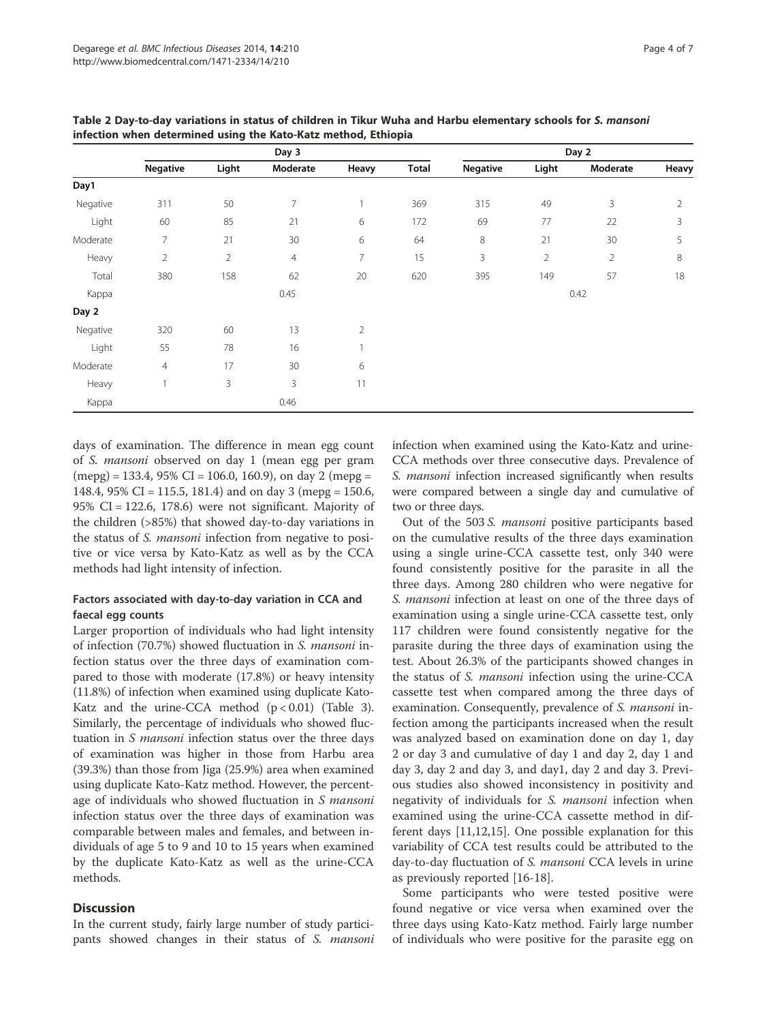|          | Day 3           |                |                |                | Day 2        |                 |                |                |                |
|----------|-----------------|----------------|----------------|----------------|--------------|-----------------|----------------|----------------|----------------|
|          | <b>Negative</b> | Light          | Moderate       | Heavy          | <b>Total</b> | <b>Negative</b> | Light          | Moderate       | Heavy          |
| Day1     |                 |                |                |                |              |                 |                |                |                |
| Negative | 311             | 50             | $\overline{7}$ |                | 369          | 315             | 49             | $\overline{3}$ | $\overline{2}$ |
| Light    | 60              | 85             | 21             | 6              | 172          | 69              | 77             | 22             | 3              |
| Moderate | $\overline{7}$  | 21             | 30             | 6              | 64           | 8               | 21             | 30             | 5              |
| Heavy    | $\overline{2}$  | $\overline{2}$ | $\overline{4}$ | 7              | 15           | 3               | $\overline{2}$ | $\overline{2}$ | 8              |
| Total    | 380             | 158            | 62             | 20             | 620          | 395             | 149            | 57             | 18             |
| Kappa    | 0.45            |                |                |                | 0.42         |                 |                |                |                |
| Day 2    |                 |                |                |                |              |                 |                |                |                |
| Negative | 320             | 60             | 13             | $\overline{2}$ |              |                 |                |                |                |
| Light    | 55              | 78             | 16             |                |              |                 |                |                |                |
| Moderate | $\overline{4}$  | 17             | 30             | 6              |              |                 |                |                |                |
| Heavy    | $\mathbf{1}$    | 3              | 3              | 11             |              |                 |                |                |                |
| Kappa    |                 |                | 0.46           |                |              |                 |                |                |                |

Table 2 Day-to-day variations in status of children in Tikur Wuha and Harbu elementary schools for S. mansoni infection when determined using the Kato-Katz method, Ethiopia

days of examination. The difference in mean egg count of S. mansoni observed on day 1 (mean egg per gram  $(mepg) = 133.4, 95\% \text{ CI} = 106.0, 160.9$ , on day 2 (mepg = 148.4, 95% CI = 115.5, 181.4) and on day 3 (mepg = 150.6, 95% CI = 122.6, 178.6) were not significant. Majority of the children (>85%) that showed day-to-day variations in the status of S. mansoni infection from negative to positive or vice versa by Kato-Katz as well as by the CCA methods had light intensity of infection.

## Factors associated with day-to-day variation in CCA and faecal egg counts

Larger proportion of individuals who had light intensity of infection (70.7%) showed fluctuation in S. mansoni infection status over the three days of examination compared to those with moderate (17.8%) or heavy intensity (11.8%) of infection when examined using duplicate Kato-Katz and the urine-CCA method  $(p < 0.01)$  (Table 3). Similarly, the percentage of individuals who showed fluctuation in S *mansoni* infection status over the three days of examination was higher in those from Harbu area (39.3%) than those from Jiga (25.9%) area when examined using duplicate Kato-Katz method. However, the percentage of individuals who showed fluctuation in S *mansoni* infection status over the three days of examination was comparable between males and females, and between individuals of age 5 to 9 and 10 to 15 years when examined by the duplicate Kato-Katz as well as the urine-CCA methods.

## **Discussion**

In the current study, fairly large number of study participants showed changes in their status of S. mansoni

infection when examined using the Kato-Katz and urine-CCA methods over three consecutive days. Prevalence of S. *mansoni* infection increased significantly when results were compared between a single day and cumulative of two or three days.

Out of the 503 S. mansoni positive participants based on the cumulative results of the three days examination using a single urine-CCA cassette test, only 340 were found consistently positive for the parasite in all the three days. Among 280 children who were negative for S. mansoni infection at least on one of the three days of examination using a single urine-CCA cassette test, only 117 children were found consistently negative for the parasite during the three days of examination using the test. About 26.3% of the participants showed changes in the status of S. mansoni infection using the urine-CCA cassette test when compared among the three days of examination. Consequently, prevalence of S. mansoni infection among the participants increased when the result was analyzed based on examination done on day 1, day 2 or day 3 and cumulative of day 1 and day 2, day 1 and day 3, day 2 and day 3, and day1, day 2 and day 3. Previous studies also showed inconsistency in positivity and negativity of individuals for S. mansoni infection when examined using the urine-CCA cassette method in different days [11,12,15]. One possible explanation for this variability of CCA test results could be attributed to the day-to-day fluctuation of S. mansoni CCA levels in urine as previously reported [16-18].

Some participants who were tested positive were found negative or vice versa when examined over the three days using Kato-Katz method. Fairly large number of individuals who were positive for the parasite egg on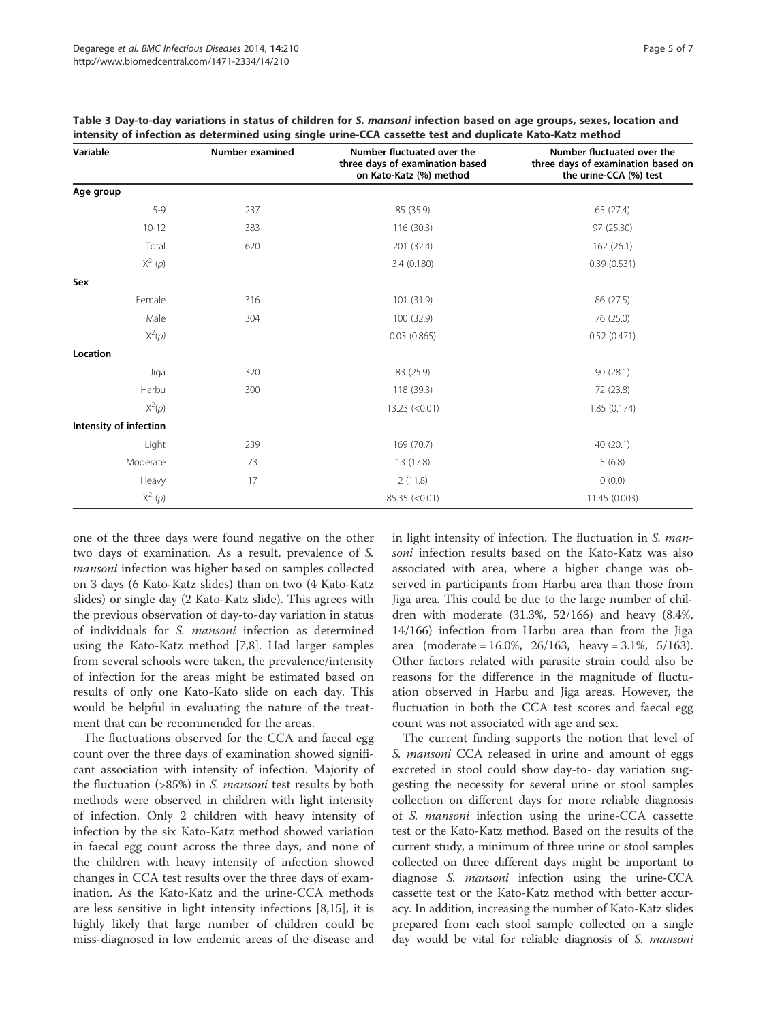| Variable               | Number examined | Number fluctuated over the<br>three days of examination based<br>on Kato-Katz (%) method | Number fluctuated over the<br>three days of examination based on<br>the urine-CCA (%) test |
|------------------------|-----------------|------------------------------------------------------------------------------------------|--------------------------------------------------------------------------------------------|
| Age group              |                 |                                                                                          |                                                                                            |
| $5 - 9$                | 237             | 85 (35.9)                                                                                | 65 (27.4)                                                                                  |
| $10 - 12$              | 383             | 116 (30.3)                                                                               | 97 (25.30)                                                                                 |
| Total                  | 620             | 201 (32.4)                                                                               | 162(26.1)                                                                                  |
| $X^2$ (p)              |                 | 3.4(0.180)                                                                               | 0.39(0.531)                                                                                |
| Sex                    |                 |                                                                                          |                                                                                            |
| Female                 | 316             | 101(31.9)                                                                                | 86 (27.5)                                                                                  |
| Male                   | 304             | 100 (32.9)                                                                               | 76 (25.0)                                                                                  |
| $X^2(p)$               |                 | 0.03(0.865)                                                                              | 0.52(0.471)                                                                                |
| Location               |                 |                                                                                          |                                                                                            |
| Jiga                   | 320             | 83 (25.9)                                                                                | 90(28.1)                                                                                   |
| Harbu                  | 300             | 118 (39.3)                                                                               | 72 (23.8)                                                                                  |
| $X^2(p)$               |                 | $13.23$ (<0.01)                                                                          | 1.85(0.174)                                                                                |
| Intensity of infection |                 |                                                                                          |                                                                                            |
| Light                  | 239             | 169 (70.7)                                                                               | 40(20.1)                                                                                   |
| Moderate               | 73              | 13 (17.8)                                                                                | 5(6.8)                                                                                     |
| Heavy                  | 17              | 2(11.8)                                                                                  | 0(0.0)                                                                                     |
| $X^2(p)$               |                 | $85.35$ (<0.01)                                                                          | 11.45 (0.003)                                                                              |

Table 3 Day-to-day variations in status of children for S. mansoni infection based on age groups, sexes, location and intensity of infection as determined using single urine-CCA cassette test and duplicate Kato-Katz method

one of the three days were found negative on the other two days of examination. As a result, prevalence of S. mansoni infection was higher based on samples collected on 3 days (6 Kato-Katz slides) than on two (4 Kato-Katz slides) or single day (2 Kato-Katz slide). This agrees with the previous observation of day-to-day variation in status of individuals for S. mansoni infection as determined using the Kato-Katz method [7,8]. Had larger samples from several schools were taken, the prevalence/intensity of infection for the areas might be estimated based on results of only one Kato-Kato slide on each day. This would be helpful in evaluating the nature of the treatment that can be recommended for the areas.

The fluctuations observed for the CCA and faecal egg count over the three days of examination showed significant association with intensity of infection. Majority of the fluctuation (>85%) in S. mansoni test results by both methods were observed in children with light intensity of infection. Only 2 children with heavy intensity of infection by the six Kato-Katz method showed variation in faecal egg count across the three days, and none of the children with heavy intensity of infection showed changes in CCA test results over the three days of examination. As the Kato-Katz and the urine-CCA methods are less sensitive in light intensity infections [8,15], it is highly likely that large number of children could be miss-diagnosed in low endemic areas of the disease and

in light intensity of infection. The fluctuation in S. mansoni infection results based on the Kato-Katz was also associated with area, where a higher change was observed in participants from Harbu area than those from Jiga area. This could be due to the large number of children with moderate (31.3%, 52/166) and heavy (8.4%, 14/166) infection from Harbu area than from the Jiga area (moderate = 16.0%, 26/163, heavy = 3.1%, 5/163). Other factors related with parasite strain could also be reasons for the difference in the magnitude of fluctuation observed in Harbu and Jiga areas. However, the fluctuation in both the CCA test scores and faecal egg count was not associated with age and sex.

The current finding supports the notion that level of S. mansoni CCA released in urine and amount of eggs excreted in stool could show day-to- day variation suggesting the necessity for several urine or stool samples collection on different days for more reliable diagnosis of S. mansoni infection using the urine-CCA cassette test or the Kato-Katz method. Based on the results of the current study, a minimum of three urine or stool samples collected on three different days might be important to diagnose S. mansoni infection using the urine-CCA cassette test or the Kato-Katz method with better accuracy. In addition, increasing the number of Kato-Katz slides prepared from each stool sample collected on a single day would be vital for reliable diagnosis of S. mansoni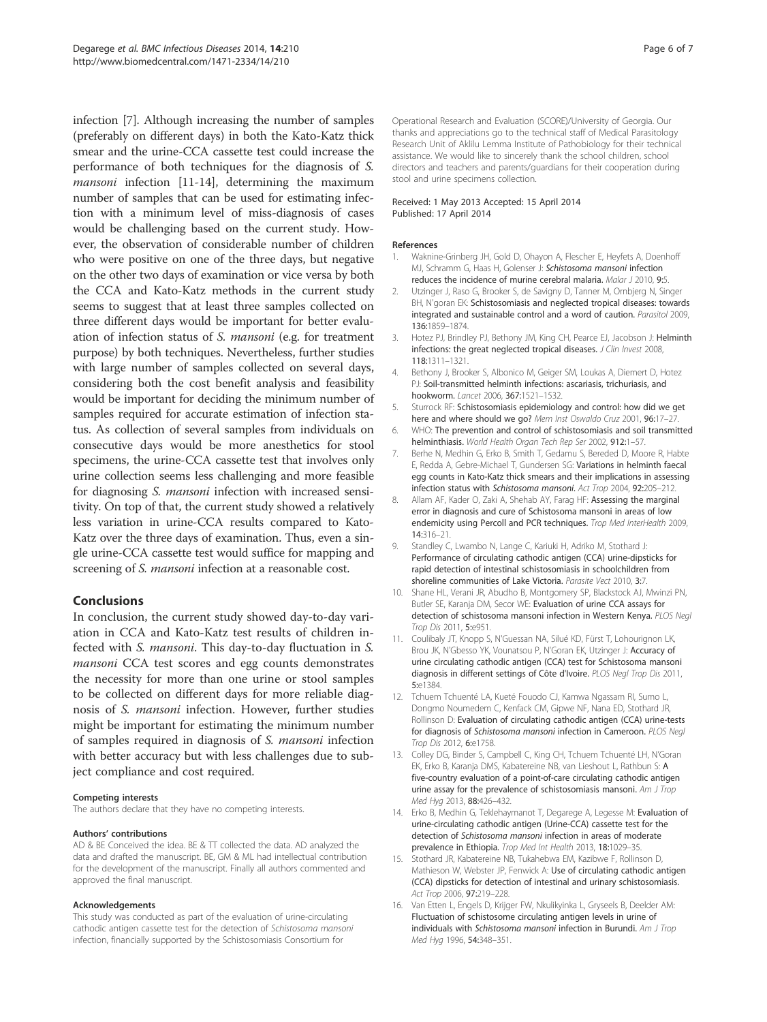infection [7]. Although increasing the number of samples (preferably on different days) in both the Kato-Katz thick smear and the urine-CCA cassette test could increase the performance of both techniques for the diagnosis of S. mansoni infection [11-14], determining the maximum number of samples that can be used for estimating infection with a minimum level of miss-diagnosis of cases would be challenging based on the current study. However, the observation of considerable number of children who were positive on one of the three days, but negative on the other two days of examination or vice versa by both the CCA and Kato-Katz methods in the current study seems to suggest that at least three samples collected on three different days would be important for better evaluation of infection status of S. mansoni (e.g. for treatment purpose) by both techniques. Nevertheless, further studies with large number of samples collected on several days, considering both the cost benefit analysis and feasibility would be important for deciding the minimum number of samples required for accurate estimation of infection status. As collection of several samples from individuals on consecutive days would be more anesthetics for stool specimens, the urine-CCA cassette test that involves only urine collection seems less challenging and more feasible for diagnosing S. mansoni infection with increased sensitivity. On top of that, the current study showed a relatively less variation in urine-CCA results compared to Kato-Katz over the three days of examination. Thus, even a single urine-CCA cassette test would suffice for mapping and screening of *S. mansoni* infection at a reasonable cost.

#### Conclusions

In conclusion, the current study showed day-to-day variation in CCA and Kato-Katz test results of children infected with S. mansoni. This day-to-day fluctuation in S. mansoni CCA test scores and egg counts demonstrates the necessity for more than one urine or stool samples to be collected on different days for more reliable diagnosis of S. mansoni infection. However, further studies might be important for estimating the minimum number of samples required in diagnosis of S. mansoni infection with better accuracy but with less challenges due to subject compliance and cost required.

#### Competing interests

The authors declare that they have no competing interests.

#### Authors' contributions

AD & BE Conceived the idea. BE & TT collected the data. AD analyzed the data and drafted the manuscript. BE, GM & ML had intellectual contribution for the development of the manuscript. Finally all authors commented and approved the final manuscript.

#### Acknowledgements

This study was conducted as part of the evaluation of urine-circulating cathodic antigen cassette test for the detection of Schistosoma mansoni infection, financially supported by the Schistosomiasis Consortium for

Operational Research and Evaluation (SCORE)/University of Georgia. Our thanks and appreciations go to the technical staff of Medical Parasitology Research Unit of Aklilu Lemma Institute of Pathobiology for their technical assistance. We would like to sincerely thank the school children, school directors and teachers and parents/guardians for their cooperation during stool and urine specimens collection.

#### Received: 1 May 2013 Accepted: 15 April 2014 Published: 17 April 2014

#### References

- 1. Waknine-Grinberg JH, Gold D, Ohayon A, Flescher E, Heyfets A, Doenhoff MJ, Schramm G, Haas H, Golenser J: Schistosoma mansoni infection reduces the incidence of murine cerebral malaria. Malar J 2010, 9:5.
- 2. Utzinger J, Raso G, Brooker S, de Savigny D, Tanner M, Ornbjerg N, Singer BH, N'goran EK: Schistosomiasis and neglected tropical diseases: towards integrated and sustainable control and a word of caution. Parasitol 2009, 136:1859–1874.
- 3. Hotez PJ, Brindley PJ, Bethony JM, King CH, Pearce EJ, Jacobson J: Helminth infections: the great neglected tropical diseases. J Clin Invest 2008, 118:1311–1321.
- 4. Bethony J, Brooker S, Albonico M, Geiger SM, Loukas A, Diemert D, Hotez PJ: Soil-transmitted helminth infections: ascariasis, trichuriasis, and hookworm. Lancet 2006, 367:1521–1532.
- 5. Sturrock RF: Schistosomiasis epidemiology and control: how did we get here and where should we go? Mem Inst Oswaldo Cruz 2001, 96:17-27.
- 6. WHO: The prevention and control of schistosomiasis and soil transmitted helminthiasis. World Health Organ Tech Rep Ser 2002, 912:1–57.
- 7. Berhe N, Medhin G, Erko B, Smith T, Gedamu S, Bereded D, Moore R, Habte E, Redda A, Gebre-Michael T, Gundersen SG: Variations in helminth faecal egg counts in Kato-Katz thick smears and their implications in assessing infection status with Schistosoma mansoni. Act Trop 2004, 92:205–212.
- 8. Allam AF, Kader O, Zaki A, Shehab AY, Farag HF: Assessing the marginal error in diagnosis and cure of Schistosoma mansoni in areas of low endemicity using Percoll and PCR techniques. Trop Med InterHealth 2009, 14:316–21.
- 9. Standley C, Lwambo N, Lange C, Kariuki H, Adriko M, Stothard J: Performance of circulating cathodic antigen (CCA) urine-dipsticks for rapid detection of intestinal schistosomiasis in schoolchildren from shoreline communities of Lake Victoria. Parasite Vect 2010, 3:7.
- 10. Shane HL, Verani JR, Abudho B, Montgomery SP, Blackstock AJ, Mwinzi PN, Butler SE, Karanja DM, Secor WE: Evaluation of urine CCA assays for detection of schistosoma mansoni infection in Western Kenya. PLOS Negl Trop Dis 2011, 5:e951.
- 11. Coulibaly JT, Knopp S, N'Guessan NA, Silué KD, Fürst T, Lohourignon LK, Brou JK, N'Gbesso YK, Vounatsou P, N'Goran EK, Utzinger J: Accuracy of urine circulating cathodic antigen (CCA) test for Schistosoma mansoni diagnosis in different settings of Côte d'Ivoire. PLOS Negl Trop Dis 2011, 5:e1384.
- 12. Tchuem Tchuenté LA, Kueté Fouodo CJ, Kamwa Ngassam RI, Sumo L, Dongmo Noumedem C, Kenfack CM, Gipwe NF, Nana ED, Stothard JR, Rollinson D: Evaluation of circulating cathodic antigen (CCA) urine-tests for diagnosis of Schistosoma mansoni infection in Cameroon. PLOS Negl Trop Dis 2012, 6:e1758.
- 13. Colley DG, Binder S, Campbell C, King CH, Tchuem Tchuenté LH, N'Goran EK, Erko B, Karanja DMS, Kabatereine NB, van Lieshout L, Rathbun S: A five-country evaluation of a point-of-care circulating cathodic antigen urine assay for the prevalence of schistosomiasis mansoni. Am J Trop Med Hyg 2013, 88:426–432.
- 14. Erko B, Medhin G, Teklehaymanot T, Degarege A, Legesse M: Evaluation of urine-circulating cathodic antigen (Urine-CCA) cassette test for the detection of Schistosoma mansoni infection in areas of moderate prevalence in Ethiopia. Trop Med Int Health 2013, 18:1029-35.
- 15. Stothard JR, Kabatereine NB, Tukahebwa EM, Kazibwe F, Rollinson D, Mathieson W, Webster JP, Fenwick A: Use of circulating cathodic antigen (CCA) dipsticks for detection of intestinal and urinary schistosomiasis. Act Trop 2006, 97:219–228.
- 16. Van Etten L, Engels D, Krijger FW, Nkulikyinka L, Gryseels B, Deelder AM: Fluctuation of schistosome circulating antigen levels in urine of individuals with Schistosoma mansoni infection in Burundi. Am J Trop Med Hyg 1996, 54:348–351.